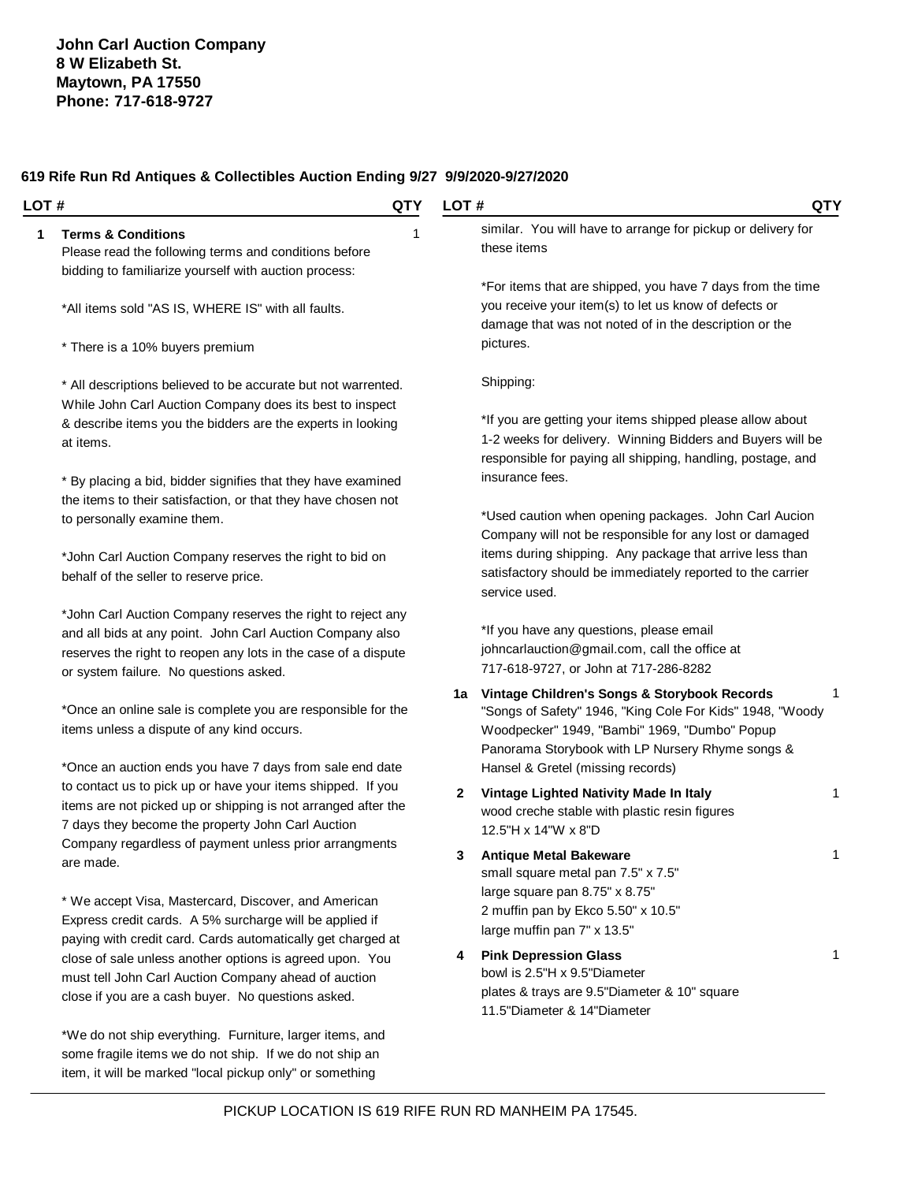| LOT # | <b>QTY</b>                                                                                                                                                                                                                            | LOT#                                                                                                                                                                                                                 | QTY |
|-------|---------------------------------------------------------------------------------------------------------------------------------------------------------------------------------------------------------------------------------------|----------------------------------------------------------------------------------------------------------------------------------------------------------------------------------------------------------------------|-----|
| 1     | <b>Terms &amp; Conditions</b><br>1<br>Please read the following terms and conditions before                                                                                                                                           | similar. You will have to arrange for pickup or delivery for<br>these items                                                                                                                                          |     |
|       | bidding to familiarize yourself with auction process:                                                                                                                                                                                 | *For items that are shipped, you have 7 days from the time                                                                                                                                                           |     |
|       | *All items sold "AS IS, WHERE IS" with all faults.                                                                                                                                                                                    | you receive your item(s) to let us know of defects or<br>damage that was not noted of in the description or the                                                                                                      |     |
|       | * There is a 10% buyers premium                                                                                                                                                                                                       | pictures.                                                                                                                                                                                                            |     |
|       | * All descriptions believed to be accurate but not warrented.<br>While John Carl Auction Company does its best to inspect                                                                                                             | Shipping:                                                                                                                                                                                                            |     |
|       | & describe items you the bidders are the experts in looking<br>at items.                                                                                                                                                              | *If you are getting your items shipped please allow about<br>1-2 weeks for delivery. Winning Bidders and Buyers will be<br>responsible for paying all shipping, handling, postage, and                               |     |
|       | * By placing a bid, bidder signifies that they have examined                                                                                                                                                                          | insurance fees.                                                                                                                                                                                                      |     |
|       | the items to their satisfaction, or that they have chosen not<br>to personally examine them.                                                                                                                                          | *Used caution when opening packages. John Carl Aucion<br>Company will not be responsible for any lost or damaged                                                                                                     |     |
|       | *John Carl Auction Company reserves the right to bid on<br>behalf of the seller to reserve price.                                                                                                                                     | items during shipping. Any package that arrive less than<br>satisfactory should be immediately reported to the carrier<br>service used.                                                                              |     |
|       | *John Carl Auction Company reserves the right to reject any<br>and all bids at any point. John Carl Auction Company also<br>reserves the right to reopen any lots in the case of a dispute<br>or system failure. No questions asked.  | *If you have any questions, please email<br>johncarlauction@gmail.com, call the office at<br>717-618-9727, or John at 717-286-8282                                                                                   |     |
|       | *Once an online sale is complete you are responsible for the<br>items unless a dispute of any kind occurs.                                                                                                                            | Vintage Children's Songs & Storybook Records<br>1a<br>"Songs of Safety" 1946, "King Cole For Kids" 1948, "Woody<br>Woodpecker" 1949, "Bambi" 1969, "Dumbo" Popup<br>Panorama Storybook with LP Nursery Rhyme songs & | 1   |
|       | *Once an auction ends you have 7 days from sale end date<br>to contact us to pick up or have your items shipped. If you                                                                                                               | Hansel & Gretel (missing records)                                                                                                                                                                                    |     |
|       | items are not picked up or shipping is not arranged after the<br>7 days they become the property John Carl Auction                                                                                                                    | $\mathbf{2}$<br>Vintage Lighted Nativity Made In Italy<br>wood creche stable with plastic resin figures<br>12.5"H x 14"W x 8"D                                                                                       | 1   |
|       | Company regardless of payment unless prior arrangments<br>are made.                                                                                                                                                                   | <b>Antique Metal Bakeware</b><br>small square metal pan 7.5" x 7.5"                                                                                                                                                  |     |
|       | * We accept Visa, Mastercard, Discover, and American<br>Express credit cards. A 5% surcharge will be applied if                                                                                                                       | large square pan 8.75" x 8.75"<br>2 muffin pan by Ekco 5.50" x 10.5"<br>large muffin pan 7" x 13.5"                                                                                                                  |     |
|       | paying with credit card. Cards automatically get charged at<br>close of sale unless another options is agreed upon. You<br>must tell John Carl Auction Company ahead of auction<br>close if you are a cash buyer. No questions asked. | <b>Pink Depression Glass</b><br>4<br>bowl is 2.5"H x 9.5"Diameter<br>plates & trays are 9.5"Diameter & 10" square<br>11.5"Diameter & 14"Diameter                                                                     | 1   |
|       | *We do not ship everything. Furniture, larger items, and<br>some fragile items we do not ship. If we do not ship an<br>item, it will be marked "local pickup only" or something                                                       |                                                                                                                                                                                                                      |     |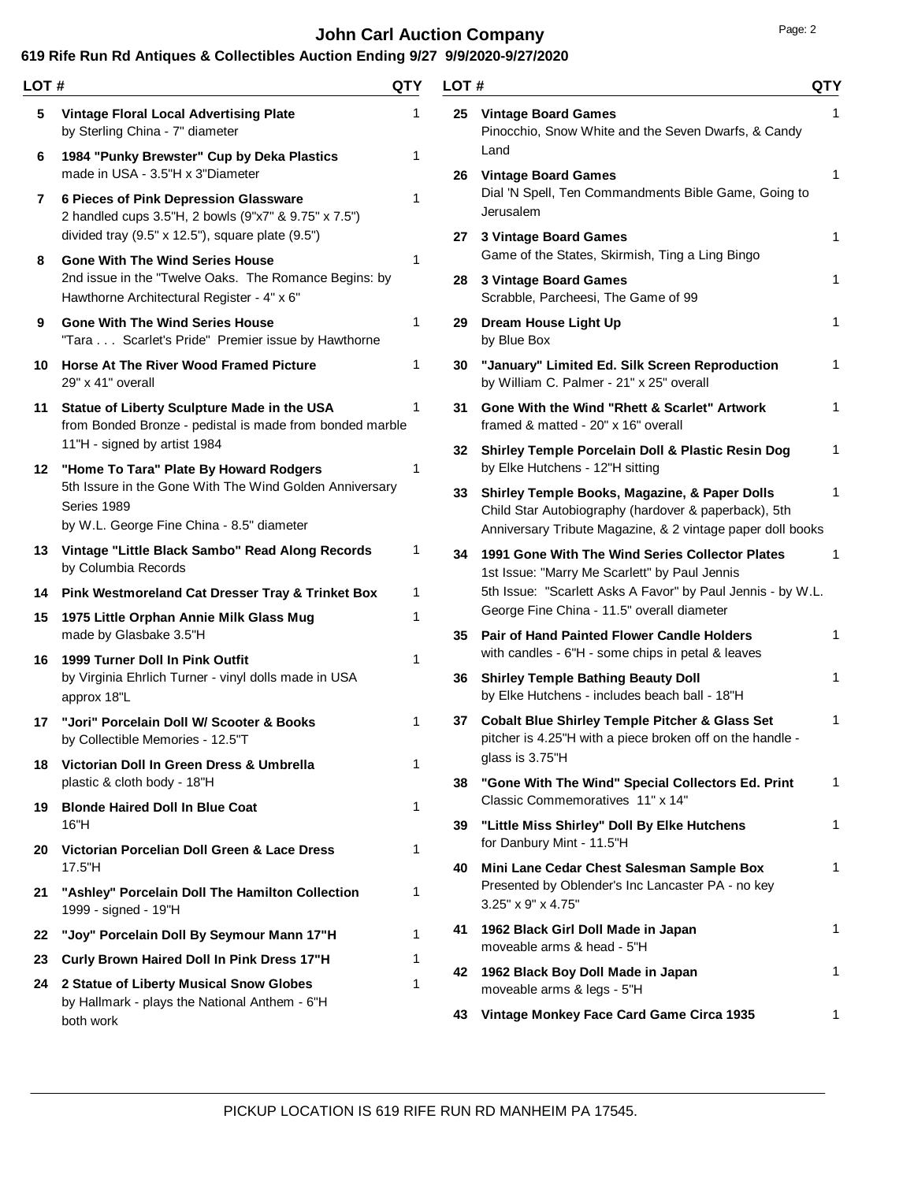# **John Carl Auction Company Page: 2 Page: 2**

| LOT# |                                                                                                                     | QTY    | LOT# |                                                                                                                        | QTY |
|------|---------------------------------------------------------------------------------------------------------------------|--------|------|------------------------------------------------------------------------------------------------------------------------|-----|
| 5    | <b>Vintage Floral Local Advertising Plate</b><br>by Sterling China - 7" diameter                                    | 1      |      | 25 Vintage Board Games<br>Pinocchio, Snow White and the Seven Dwarfs, & Candy<br>Land                                  | 1   |
| 6    | 1984 "Punky Brewster" Cup by Deka Plastics<br>made in USA - 3.5"H x 3"Diameter                                      | 1      |      | 26 Vintage Board Games                                                                                                 | 1   |
| 7    | 6 Pieces of Pink Depression Glassware<br>2 handled cups 3.5"H, 2 bowls (9"x7" & 9.75" x 7.5")                       | 1      |      | Dial 'N Spell, Ten Commandments Bible Game, Going to<br>Jerusalem                                                      |     |
| 8    | divided tray (9.5" x 12.5"), square plate (9.5")<br><b>Gone With The Wind Series House</b>                          | 1      | 27   | 3 Vintage Board Games<br>Game of the States, Skirmish, Ting a Ling Bingo                                               | 1   |
|      | 2nd issue in the "Twelve Oaks. The Romance Begins: by<br>Hawthorne Architectural Register - 4" x 6"                 |        | 28   | 3 Vintage Board Games<br>Scrabble, Parcheesi, The Game of 99                                                           | 1   |
| 9    | <b>Gone With The Wind Series House</b><br>"Tara Scarlet's Pride" Premier issue by Hawthorne                         | 1      | 29   | Dream House Light Up<br>by Blue Box                                                                                    | 1   |
|      | 10 Horse At The River Wood Framed Picture<br>29" x 41" overall                                                      | 1      | 30   | "January" Limited Ed. Silk Screen Reproduction<br>by William C. Palmer - 21" x 25" overall                             | 1   |
| 11   | Statue of Liberty Sculpture Made in the USA<br>from Bonded Bronze - pedistal is made from bonded marble             | 1      | 31   | Gone With the Wind "Rhett & Scarlet" Artwork<br>framed & matted - 20" x 16" overall                                    | 1   |
|      | 11"H - signed by artist 1984<br>12 "Home To Tara" Plate By Howard Rodgers                                           | 1      |      | 32 Shirley Temple Porcelain Doll & Plastic Resin Dog<br>by Elke Hutchens - 12"H sitting                                | 1   |
|      | 5th Issure in the Gone With The Wind Golden Anniversary<br>Series 1989<br>by W.L. George Fine China - 8.5" diameter |        | 33   | Shirley Temple Books, Magazine, & Paper Dolls<br>Child Star Autobiography (hardover & paperback), 5th                  | 1   |
|      | 13 Vintage "Little Black Sambo" Read Along Records                                                                  | 1      | 34   | Anniversary Tribute Magazine, & 2 vintage paper doll books<br>1991 Gone With The Wind Series Collector Plates          |     |
|      | by Columbia Records                                                                                                 |        |      | 1st Issue: "Marry Me Scarlett" by Paul Jennis<br>5th Issue: "Scarlett Asks A Favor" by Paul Jennis - by W.L.           |     |
| 15   | 14 Pink Westmoreland Cat Dresser Tray & Trinket Box<br>1975 Little Orphan Annie Milk Glass Mug                      | 1<br>1 |      | George Fine China - 11.5" overall diameter                                                                             |     |
|      | made by Glasbake 3.5"H                                                                                              |        | 35.  | <b>Pair of Hand Painted Flower Candle Holders</b><br>with candles - 6"H - some chips in petal & leaves                 | 1   |
| 16   | 1999 Turner Doll In Pink Outfit<br>by Virginia Ehrlich Turner - vinyl dolls made in USA<br>approx 18"L              | 1      |      | 36 Shirley Temple Bathing Beauty Doll<br>by Elke Hutchens - includes beach ball - 18"H                                 | 1   |
| 17   | "Jori" Porcelain Doll W/ Scooter & Books<br>by Collectible Memories - 12.5"T                                        | 1      | 37   | <b>Cobalt Blue Shirley Temple Pitcher &amp; Glass Set</b><br>pitcher is 4.25"H with a piece broken off on the handle - | 1   |
|      | 18 Victorian Doll In Green Dress & Umbrella<br>plastic & cloth body - 18"H                                          | 1      | 38   | glass is 3.75"H<br>"Gone With The Wind" Special Collectors Ed. Print                                                   | 1   |
| 19   | <b>Blonde Haired Doll In Blue Coat</b><br>16"H                                                                      | 1      | 39.  | Classic Commemoratives 11" x 14"<br>"Little Miss Shirley" Doll By Elke Hutchens                                        | 1   |
| 20   | Victorian Porcelian Doll Green & Lace Dress                                                                         | 1      |      | for Danbury Mint - 11.5"H                                                                                              |     |
| 21   | 17.5"H<br>"Ashley" Porcelain Doll The Hamilton Collection<br>1999 - signed - 19"H                                   | 1      | 40.  | Mini Lane Cedar Chest Salesman Sample Box<br>Presented by Oblender's Inc Lancaster PA - no key<br>3.25" x 9" x 4.75"   | 1   |
| 22   | "Joy" Porcelain Doll By Seymour Mann 17"H                                                                           | 1      | 41   | 1962 Black Girl Doll Made in Japan                                                                                     | 1   |
| 23   | Curly Brown Haired Doll In Pink Dress 17"H                                                                          |        |      | moveable arms & head - 5"H                                                                                             |     |
| 24   | 2 Statue of Liberty Musical Snow Globes<br>by Hallmark - plays the National Anthem - 6"H                            |        |      | 42 1962 Black Boy Doll Made in Japan<br>moveable arms & legs - 5"H                                                     | 1   |
|      | both work                                                                                                           |        | 43   | Vintage Monkey Face Card Game Circa 1935                                                                               | 1   |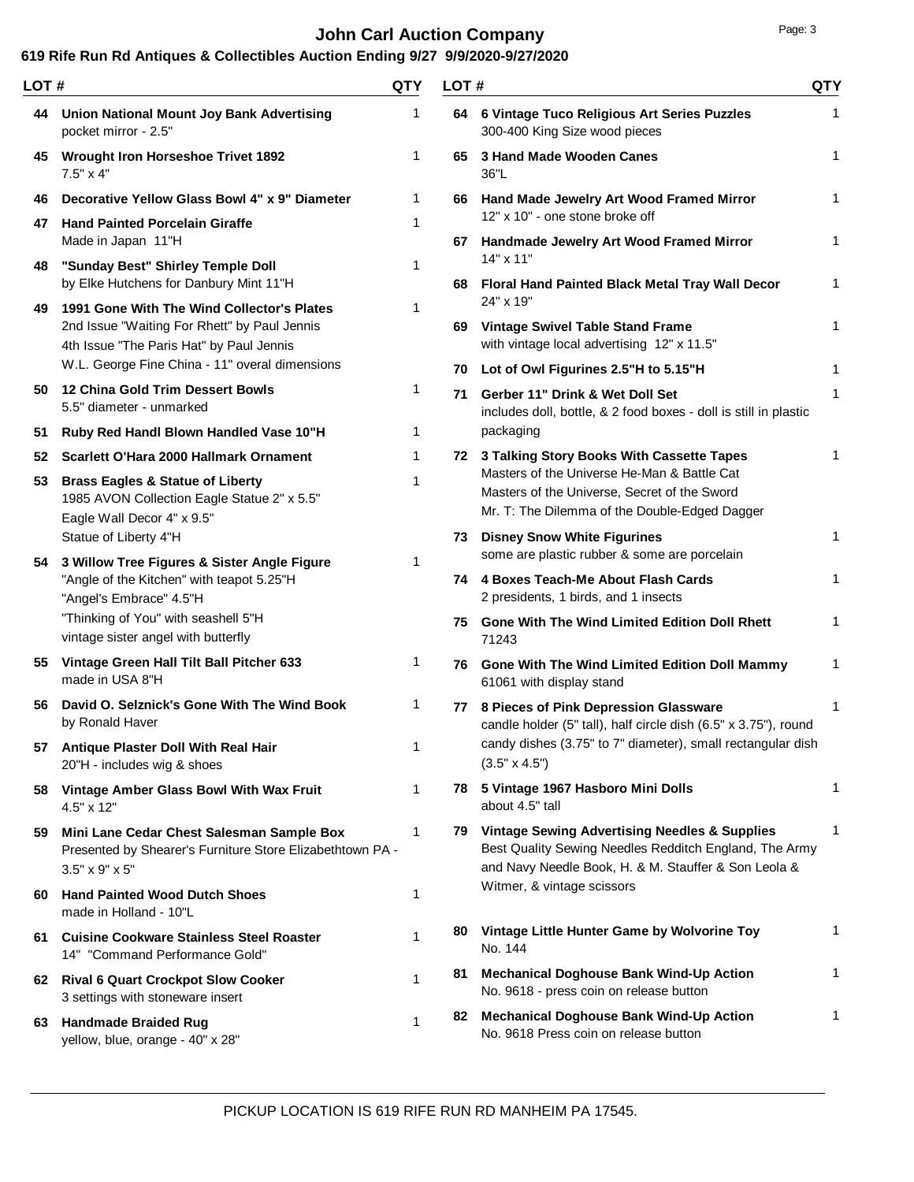# **John Carl Auction Company Page: 3**

| LOT# |                                                                                                                                         | QTY          | LOT# |                                                                                                                                                                    | QTY          |
|------|-----------------------------------------------------------------------------------------------------------------------------------------|--------------|------|--------------------------------------------------------------------------------------------------------------------------------------------------------------------|--------------|
|      | 44 Union National Mount Joy Bank Advertising<br>pocket mirror - 2.5"                                                                    | 1            |      | 64 6 Vintage Tuco Religious Art Series Puzzles<br>300-400 King Size wood pieces                                                                                    | 1            |
| 45   | <b>Wrought Iron Horseshoe Trivet 1892</b><br>$7.5" \times 4"$                                                                           | 1            | 65   | 3 Hand Made Wooden Canes<br>36"L                                                                                                                                   | 1            |
| 46   | Decorative Yellow Glass Bowl 4" x 9" Diameter                                                                                           | 1            |      | 66 Hand Made Jewelry Art Wood Framed Mirror<br>12" x 10" - one stone broke off                                                                                     | 1            |
|      | 47 Hand Painted Porcelain Giraffe<br>Made in Japan 11"H                                                                                 | 1            |      | 67 Handmade Jewelry Art Wood Framed Mirror                                                                                                                         | 1            |
| 48   | "Sunday Best" Shirley Temple Doll<br>by Elke Hutchens for Danbury Mint 11"H                                                             | 1            |      | $14" \times 11"$<br>68 Floral Hand Painted Black Metal Tray Wall Decor                                                                                             | 1            |
| 49   | 1991 Gone With The Wind Collector's Plates                                                                                              | 1            |      | 24" x 19"                                                                                                                                                          |              |
|      | 2nd Issue "Waiting For Rhett" by Paul Jennis<br>4th Issue "The Paris Hat" by Paul Jennis                                                |              | 69   | <b>Vintage Swivel Table Stand Frame</b><br>with vintage local advertising 12" x 11.5"                                                                              | 1            |
|      | W.L. George Fine China - 11" overal dimensions                                                                                          |              |      | 70 Lot of Owl Figurines 2.5"H to 5.15"H                                                                                                                            | 1            |
| 50   | 12 China Gold Trim Dessert Bowls<br>5.5" diameter - unmarked                                                                            | 1            | 71   | Gerber 11" Drink & Wet Doll Set<br>includes doll, bottle, & 2 food boxes - doll is still in plastic                                                                | 1            |
| 51   | Ruby Red Handl Blown Handled Vase 10"H                                                                                                  | 1            |      | packaging                                                                                                                                                          |              |
| 52   | Scarlett O'Hara 2000 Hallmark Ornament                                                                                                  | 1            |      | 72 3 Talking Story Books With Cassette Tapes<br>Masters of the Universe He-Man & Battle Cat                                                                        | 1            |
|      | 53 Brass Eagles & Statue of Liberty<br>1985 AVON Collection Eagle Statue 2" x 5.5"<br>Eagle Wall Decor 4" x 9.5"                        | 1            |      | Masters of the Universe, Secret of the Sword<br>Mr. T: The Dilemma of the Double-Edged Dagger                                                                      |              |
|      | Statue of Liberty 4"H                                                                                                                   |              |      | 73 Disney Snow White Figurines<br>some are plastic rubber & some are porcelain                                                                                     | 1            |
|      | 54 3 Willow Tree Figures & Sister Angle Figure<br>"Angle of the Kitchen" with teapot 5.25"H<br>"Angel's Embrace" 4.5"H                  | 1            |      | 74 4 Boxes Teach-Me About Flash Cards<br>2 presidents, 1 birds, and 1 insects                                                                                      | $\mathbf{1}$ |
|      | "Thinking of You" with seashell 5"H<br>vintage sister angel with butterfly                                                              |              |      | 75 Gone With The Wind Limited Edition Doll Rhett<br>71243                                                                                                          | 1            |
|      | 55 Vintage Green Hall Tilt Ball Pitcher 633<br>made in USA 8"H                                                                          | 1            |      | 76 Gone With The Wind Limited Edition Doll Mammy<br>61061 with display stand                                                                                       | 1            |
| 56   | David O. Selznick's Gone With The Wind Book<br>by Ronald Haver                                                                          | 1            | 77   | 8 Pieces of Pink Depression Glassware<br>candle holder (5" tall), half circle dish (6.5" x 3.75"), round                                                           | 1            |
|      | 57 Antique Plaster Doll With Real Hair<br>20"H - includes wig & shoes                                                                   | 1            |      | candy dishes (3.75" to 7" diameter), small rectangular dish<br>$(3.5" \times 4.5")$                                                                                |              |
| 58   | Vintage Amber Glass Bowl With Wax Fruit<br>$4.5" \times 12"$                                                                            | 1            |      | 78 5 Vintage 1967 Hasboro Mini Dolls<br>about 4.5" tall                                                                                                            | 1            |
|      | 59 Mini Lane Cedar Chest Salesman Sample Box<br>Presented by Shearer's Furniture Store Elizabethtown PA -<br>$3.5" \times 9" \times 5"$ | 1            |      | 79 Vintage Sewing Advertising Needles & Supplies<br>Best Quality Sewing Needles Redditch England, The Army<br>and Navy Needle Book, H. & M. Stauffer & Son Leola & | 1            |
|      | 60 Hand Painted Wood Dutch Shoes<br>made in Holland - 10"L                                                                              | 1            |      | Witmer, & vintage scissors                                                                                                                                         |              |
|      | 61 Cuisine Cookware Stainless Steel Roaster<br>14" "Command Performance Gold"                                                           | 1            |      | 80 Vintage Little Hunter Game by Wolvorine Toy<br>No. 144                                                                                                          | 1            |
|      | 62 Rival 6 Quart Crockpot Slow Cooker<br>3 settings with stoneware insert                                                               | 1            | 81.  | <b>Mechanical Doghouse Bank Wind-Up Action</b><br>No. 9618 - press coin on release button                                                                          | 1            |
| 63   | <b>Handmade Braided Rug</b><br>yellow, blue, orange - 40" x 28"                                                                         | $\mathbf{1}$ | 82.  | <b>Mechanical Doghouse Bank Wind-Up Action</b><br>No. 9618 Press coin on release button                                                                            | 1            |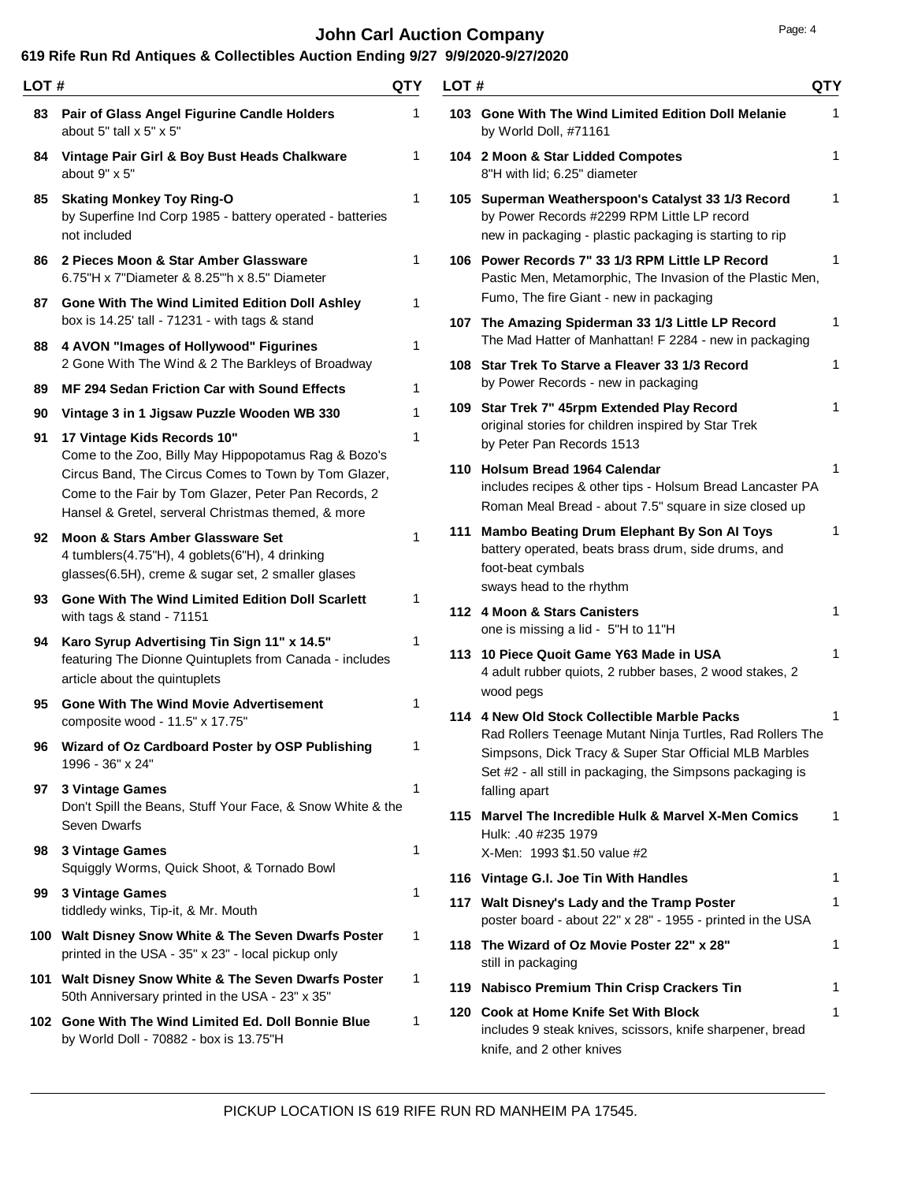# **John Carl Auction Company Page: 4 Page: 4**

| LOT # |                                                                                                                                                                                                     | <b>QTY</b>   | LOT# |                                                                                                                                                                                   | QTY          |
|-------|-----------------------------------------------------------------------------------------------------------------------------------------------------------------------------------------------------|--------------|------|-----------------------------------------------------------------------------------------------------------------------------------------------------------------------------------|--------------|
|       | 83 Pair of Glass Angel Figurine Candle Holders<br>about 5" tall x 5" x 5"                                                                                                                           | 1            |      | 103 Gone With The Wind Limited Edition Doll Melanie<br>by World Doll, #71161                                                                                                      | 1            |
| 84    | Vintage Pair Girl & Boy Bust Heads Chalkware<br>about 9" x 5"                                                                                                                                       | 1            |      | 104 2 Moon & Star Lidded Compotes<br>8"H with lid; 6.25" diameter                                                                                                                 | 1            |
|       | 85 Skating Monkey Toy Ring-O<br>by Superfine Ind Corp 1985 - battery operated - batteries<br>not included                                                                                           | 1            |      | 105 Superman Weatherspoon's Catalyst 33 1/3 Record<br>by Power Records #2299 RPM Little LP record<br>new in packaging - plastic packaging is starting to rip                      |              |
|       | 86 2 Pieces Moon & Star Amber Glassware<br>6.75"H x 7"Diameter & 8.25"h x 8.5" Diameter                                                                                                             | $\mathbf{1}$ |      | 106 Power Records 7" 33 1/3 RPM Little LP Record<br>Pastic Men, Metamorphic, The Invasion of the Plastic Men,<br>Fumo, The fire Giant - new in packaging                          | 1            |
|       | 87 Gone With The Wind Limited Edition Doll Ashley<br>box is 14.25' tall - 71231 - with tags & stand                                                                                                 | 1            |      | 107 The Amazing Spiderman 33 1/3 Little LP Record<br>The Mad Hatter of Manhattan! F 2284 - new in packaging                                                                       | 1            |
|       | 88 4 AVON "Images of Hollywood" Figurines<br>2 Gone With The Wind & 2 The Barkleys of Broadway                                                                                                      | 1            |      | 108 Star Trek To Starve a Fleaver 33 1/3 Record<br>by Power Records - new in packaging                                                                                            | 1            |
| 89    | <b>MF 294 Sedan Friction Car with Sound Effects</b>                                                                                                                                                 | 1            |      |                                                                                                                                                                                   | 1            |
| 90    | Vintage 3 in 1 Jigsaw Puzzle Wooden WB 330                                                                                                                                                          | 1            |      | 109 Star Trek 7" 45rpm Extended Play Record<br>original stories for children inspired by Star Trek                                                                                |              |
| 91    | 17 Vintage Kids Records 10"<br>Come to the Zoo, Billy May Hippopotamus Rag & Bozo's<br>Circus Band, The Circus Comes to Town by Tom Glazer,<br>Come to the Fair by Tom Glazer, Peter Pan Records, 2 | 1            |      | by Peter Pan Records 1513<br>110 Holsum Bread 1964 Calendar<br>includes recipes & other tips - Holsum Bread Lancaster PA                                                          | 1            |
|       | Hansel & Gretel, serveral Christmas themed, & more                                                                                                                                                  |              |      | Roman Meal Bread - about 7.5" square in size closed up                                                                                                                            |              |
|       | 92 Moon & Stars Amber Glassware Set<br>4 tumblers(4.75"H), 4 goblets(6"H), 4 drinking<br>glasses(6.5H), creme & sugar set, 2 smaller glases                                                         | 1            |      | 111 Mambo Beating Drum Elephant By Son Al Toys<br>battery operated, beats brass drum, side drums, and<br>foot-beat cymbals                                                        | 1            |
|       | 93 Gone With The Wind Limited Edition Doll Scarlett<br>with tags & stand - 71151                                                                                                                    | 1            |      | sways head to the rhythm<br>112 4 Moon & Stars Canisters<br>one is missing a lid - 5"H to 11"H                                                                                    | 1            |
| 94    | Karo Syrup Advertising Tin Sign 11" x 14.5"<br>featuring The Dionne Quintuplets from Canada - includes<br>article about the quintuplets                                                             | 1            |      | 113 10 Piece Quoit Game Y63 Made in USA<br>4 adult rubber quiots, 2 rubber bases, 2 wood stakes, 2                                                                                | 1            |
| 95    | <b>Gone With The Wind Movie Advertisement</b><br>composite wood - 11.5" x 17.75"                                                                                                                    | 1            |      | wood pegs<br>114 4 New Old Stock Collectible Marble Packs                                                                                                                         |              |
| 96    | Wizard of Oz Cardboard Poster by OSP Publishing<br>1996 - 36" x 24"                                                                                                                                 | 1            |      | Rad Rollers Teenage Mutant Ninja Turtles, Rad Rollers The<br>Simpsons, Dick Tracy & Super Star Official MLB Marbles<br>Set #2 - all still in packaging, the Simpsons packaging is |              |
| 97    | 3 Vintage Games<br>Don't Spill the Beans, Stuff Your Face, & Snow White & the                                                                                                                       | 1            |      | falling apart                                                                                                                                                                     |              |
|       | Seven Dwarfs                                                                                                                                                                                        |              |      | 115 Marvel The Incredible Hulk & Marvel X-Men Comics<br>Hulk: .40 #235 1979                                                                                                       | 1            |
|       | 98 3 Vintage Games                                                                                                                                                                                  | 1            |      | X-Men: 1993 \$1.50 value #2                                                                                                                                                       |              |
|       | Squiggly Worms, Quick Shoot, & Tornado Bowl                                                                                                                                                         |              |      | 116 Vintage G.I. Joe Tin With Handles                                                                                                                                             | 1            |
| 99    | 3 Vintage Games<br>tiddledy winks, Tip-it, & Mr. Mouth                                                                                                                                              | 1            |      | 117 Walt Disney's Lady and the Tramp Poster<br>poster board - about 22" x 28" - 1955 - printed in the USA                                                                         | $\mathbf{1}$ |
|       | 100 Walt Disney Snow White & The Seven Dwarfs Poster<br>printed in the USA - 35" x 23" - local pickup only                                                                                          | 1            |      | 118 The Wizard of Oz Movie Poster 22" x 28"<br>still in packaging                                                                                                                 | 1            |
|       | 101 Walt Disney Snow White & The Seven Dwarfs Poster                                                                                                                                                | 1            |      | 119 Nabisco Premium Thin Crisp Crackers Tin                                                                                                                                       | 1            |
|       | 50th Anniversary printed in the USA - 23" x 35"<br>102 Gone With The Wind Limited Ed. Doll Bonnie Blue<br>by World Doll - 70882 - box is 13.75"H                                                    | 1            |      | 120 Cook at Home Knife Set With Block<br>includes 9 steak knives, scissors, knife sharpener, bread<br>knife, and 2 other knives                                                   | 1            |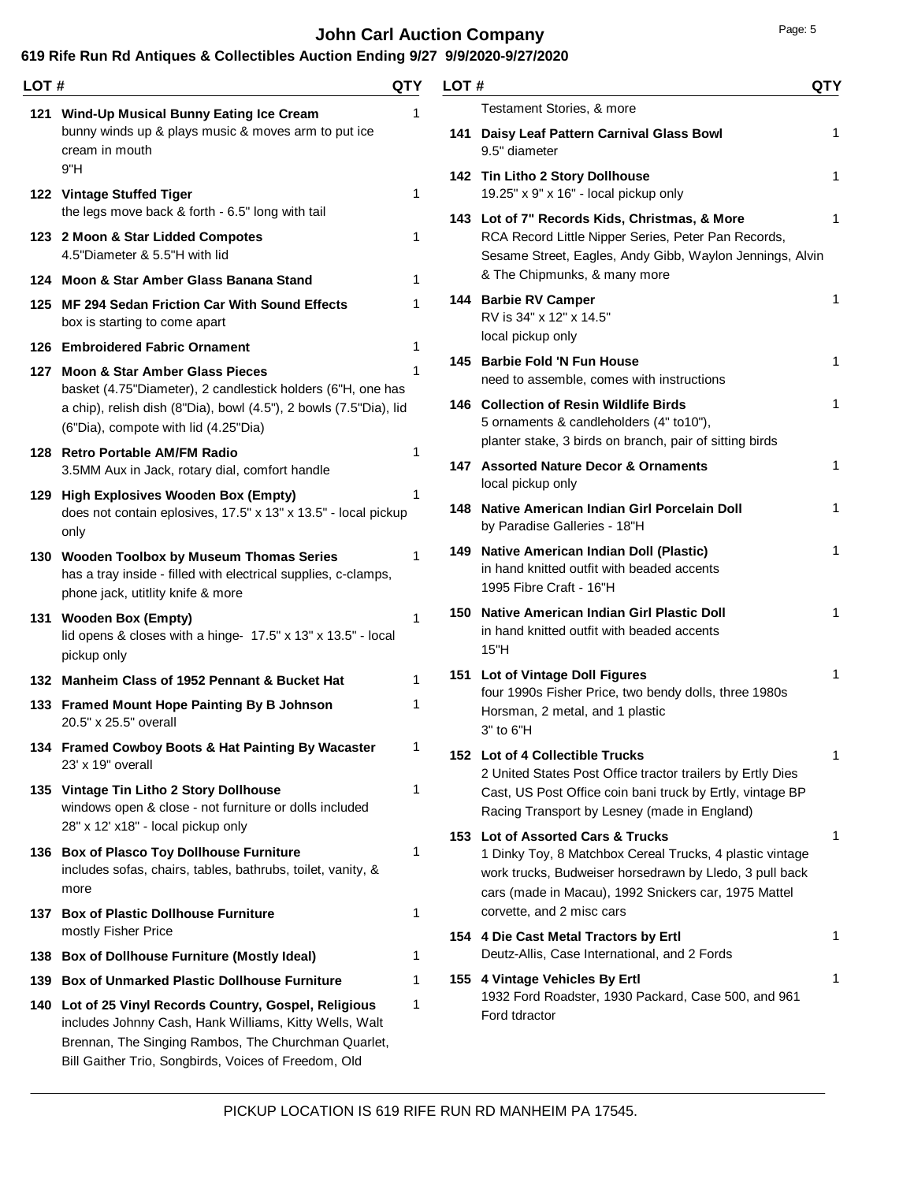### **John Carl Auction Company Page: 5 Page: 5**

| LOT # |                                                                                                                                                                                                                                 | QTY          | LOT# |                                                                                                                                                                                                                  | QTY |
|-------|---------------------------------------------------------------------------------------------------------------------------------------------------------------------------------------------------------------------------------|--------------|------|------------------------------------------------------------------------------------------------------------------------------------------------------------------------------------------------------------------|-----|
|       | 121 Wind-Up Musical Bunny Eating Ice Cream                                                                                                                                                                                      | 1            |      | Testament Stories, & more                                                                                                                                                                                        |     |
|       | bunny winds up & plays music & moves arm to put ice<br>cream in mouth                                                                                                                                                           |              |      | 141 Daisy Leaf Pattern Carnival Glass Bowl<br>9.5" diameter                                                                                                                                                      | 1   |
|       | 9"H<br>122 Vintage Stuffed Tiger                                                                                                                                                                                                | 1            |      | 142 Tin Litho 2 Story Dollhouse<br>19.25" x 9" x 16" - local pickup only                                                                                                                                         | 1   |
|       | the legs move back & forth - 6.5" long with tail<br>123 2 Moon & Star Lidded Compotes<br>4.5"Diameter & 5.5"H with lid                                                                                                          | 1            |      | 143 Lot of 7" Records Kids, Christmas, & More<br>RCA Record Little Nipper Series, Peter Pan Records,<br>Sesame Street, Eagles, Andy Gibb, Waylon Jennings, Alvin                                                 | 1   |
|       | 124 Moon & Star Amber Glass Banana Stand                                                                                                                                                                                        | 1            |      | & The Chipmunks, & many more                                                                                                                                                                                     |     |
|       | 125 MF 294 Sedan Friction Car With Sound Effects<br>box is starting to come apart                                                                                                                                               | 1            |      | 144 Barbie RV Camper<br>RV is 34" x 12" x 14.5"                                                                                                                                                                  | 1   |
|       | 126 Embroidered Fabric Ornament                                                                                                                                                                                                 | 1            |      | local pickup only                                                                                                                                                                                                | 1   |
|       | 127 Moon & Star Amber Glass Pieces<br>basket (4.75"Diameter), 2 candlestick holders (6"H, one has                                                                                                                               |              |      | 145 Barbie Fold 'N Fun House<br>need to assemble, comes with instructions                                                                                                                                        |     |
|       | a chip), relish dish (8"Dia), bowl (4.5"), 2 bowls (7.5"Dia), lid<br>(6"Dia), compote with lid (4.25"Dia)                                                                                                                       |              |      | 146 Collection of Resin Wildlife Birds<br>5 ornaments & candleholders (4" to10"),<br>planter stake, 3 birds on branch, pair of sitting birds                                                                     | 1   |
|       | 128 Retro Portable AM/FM Radio<br>3.5MM Aux in Jack, rotary dial, comfort handle                                                                                                                                                | 1            |      | 147 Assorted Nature Decor & Ornaments<br>local pickup only                                                                                                                                                       | 1   |
|       | 129 High Explosives Wooden Box (Empty)<br>does not contain eplosives, 17.5" x 13" x 13.5" - local pickup<br>only                                                                                                                | 1            |      | 148 Native American Indian Girl Porcelain Doll<br>by Paradise Galleries - 18"H                                                                                                                                   | 1   |
|       | 130 Wooden Toolbox by Museum Thomas Series<br>has a tray inside - filled with electrical supplies, c-clamps,<br>phone jack, utitlity knife & more                                                                               | 1            |      | 149 Native American Indian Doll (Plastic)<br>in hand knitted outfit with beaded accents<br>1995 Fibre Craft - 16"H                                                                                               | 1   |
|       | 131 Wooden Box (Empty)<br>lid opens & closes with a hinge- 17.5" x 13" x 13.5" - local<br>pickup only                                                                                                                           | $\mathbf{1}$ |      | 150 Native American Indian Girl Plastic Doll<br>in hand knitted outfit with beaded accents<br>15"H                                                                                                               |     |
|       | 132 Manheim Class of 1952 Pennant & Bucket Hat                                                                                                                                                                                  | 1            |      | 151 Lot of Vintage Doll Figures                                                                                                                                                                                  | 1   |
|       | 133 Framed Mount Hope Painting By B Johnson<br>20.5" x 25.5" overall                                                                                                                                                            | 1            |      | four 1990s Fisher Price, two bendy dolls, three 1980s<br>Horsman, 2 metal, and 1 plastic<br>3" to 6"H                                                                                                            |     |
|       | 134 Framed Cowboy Boots & Hat Painting By Wacaster<br>23' x 19" overall                                                                                                                                                         | 1            |      | 152 Lot of 4 Collectible Trucks<br>2 United States Post Office tractor trailers by Ertly Dies                                                                                                                    | 1   |
|       | 135 Vintage Tin Litho 2 Story Dollhouse<br>windows open & close - not furniture or dolls included<br>28" x 12' x18" - local pickup only                                                                                         | 1            |      | Cast, US Post Office coin bani truck by Ertly, vintage BP<br>Racing Transport by Lesney (made in England)                                                                                                        |     |
|       | 136 Box of Plasco Toy Dollhouse Furniture<br>includes sofas, chairs, tables, bathrubs, toilet, vanity, &<br>more                                                                                                                | 1            |      | 153 Lot of Assorted Cars & Trucks<br>1 Dinky Toy, 8 Matchbox Cereal Trucks, 4 plastic vintage<br>work trucks, Budweiser horsedrawn by Lledo, 3 pull back<br>cars (made in Macau), 1992 Snickers car, 1975 Mattel | 1   |
|       | 137 Box of Plastic Dollhouse Furniture<br>mostly Fisher Price                                                                                                                                                                   | 1            |      | corvette, and 2 misc cars<br>154 4 Die Cast Metal Tractors by Ertl                                                                                                                                               | 1   |
|       | 138 Box of Dollhouse Furniture (Mostly Ideal)                                                                                                                                                                                   | 1            |      | Deutz-Allis, Case International, and 2 Fords                                                                                                                                                                     |     |
| 139   | <b>Box of Unmarked Plastic Dollhouse Furniture</b>                                                                                                                                                                              | 1            |      | 155 4 Vintage Vehicles By Ertl                                                                                                                                                                                   | 1   |
|       | 140 Lot of 25 Vinyl Records Country, Gospel, Religious<br>includes Johnny Cash, Hank Williams, Kitty Wells, Walt<br>Brennan, The Singing Rambos, The Churchman Quarlet,<br>Bill Gaither Trio, Songbirds, Voices of Freedom, Old | 1            |      | 1932 Ford Roadster, 1930 Packard, Case 500, and 961<br>Ford tdractor                                                                                                                                             |     |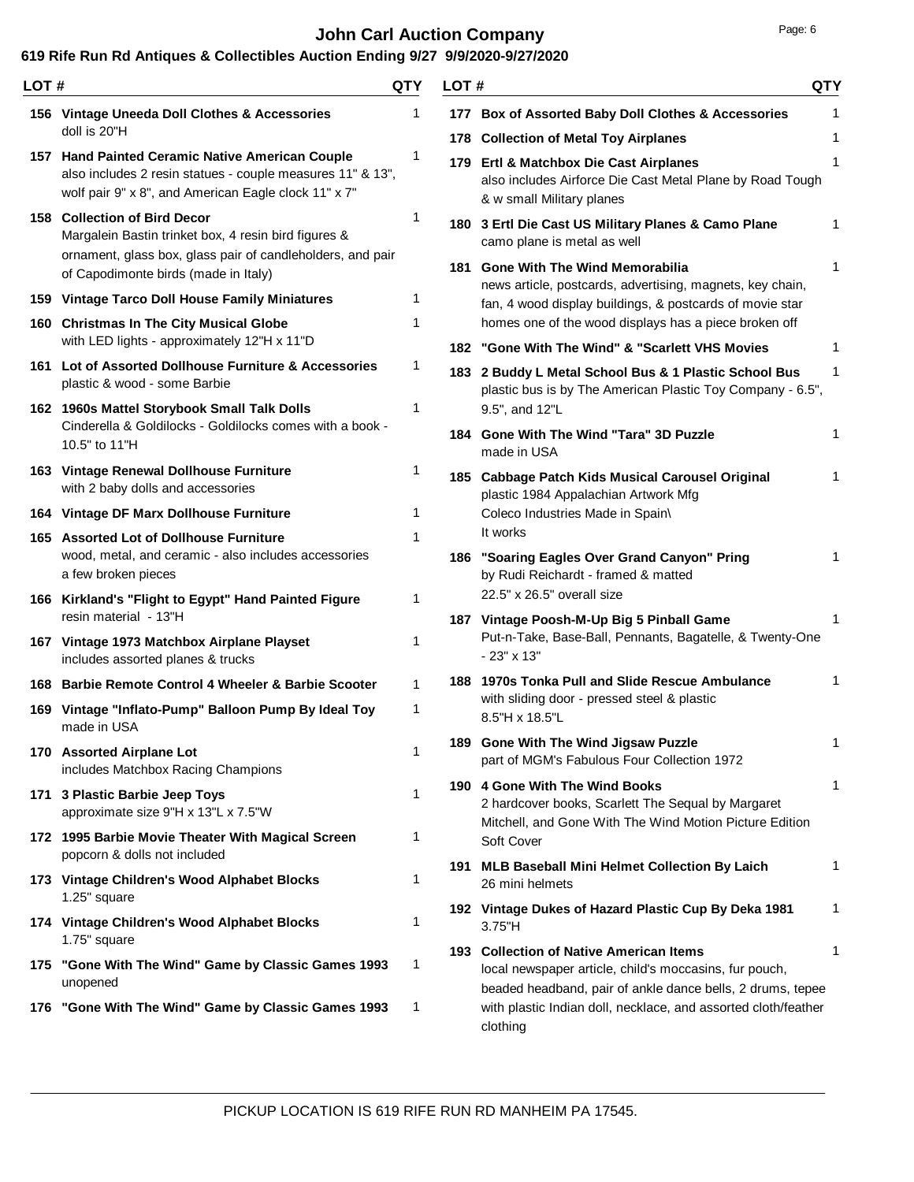# **John Carl Auction Company Page: 6 Page: 6**

| LOT# |                                                                                                                                                                       | QTY | LOT# |                                                                                                                                                                           | QTY    |
|------|-----------------------------------------------------------------------------------------------------------------------------------------------------------------------|-----|------|---------------------------------------------------------------------------------------------------------------------------------------------------------------------------|--------|
|      | 156 Vintage Uneeda Doll Clothes & Accessories<br>doll is 20"H                                                                                                         |     |      | 177 Box of Assorted Baby Doll Clothes & Accessories                                                                                                                       | 1      |
|      | 157 Hand Painted Ceramic Native American Couple<br>also includes 2 resin statues - couple measures 11" & 13",<br>wolf pair 9" x 8", and American Eagle clock 11" x 7" | 1   |      | 178 Collection of Metal Toy Airplanes<br>179 Ertl & Matchbox Die Cast Airplanes<br>also includes Airforce Die Cast Metal Plane by Road Tough<br>& w small Military planes | 1<br>1 |
|      | 158 Collection of Bird Decor<br>Margalein Bastin trinket box, 4 resin bird figures &<br>ornament, glass box, glass pair of candleholders, and pair                    | 1   |      | 180 3 Ertl Die Cast US Military Planes & Camo Plane<br>camo plane is metal as well                                                                                        | 1      |
|      | of Capodimonte birds (made in Italy)                                                                                                                                  |     |      | 181 Gone With The Wind Memorabilia<br>news article, postcards, advertising, magnets, key chain,                                                                           | 1      |
|      | 159 Vintage Tarco Doll House Family Miniatures<br>160 Christmas In The City Musical Globe                                                                             | 1   |      | fan, 4 wood display buildings, & postcards of movie star<br>homes one of the wood displays has a piece broken off                                                         |        |
|      | with LED lights - approximately 12"H x 11"D                                                                                                                           |     |      | 182 "Gone With The Wind" & "Scarlett VHS Movies                                                                                                                           | 1      |
|      | 161 Lot of Assorted Dollhouse Furniture & Accessories<br>plastic & wood - some Barbie                                                                                 | 1   |      | 183 2 Buddy L Metal School Bus & 1 Plastic School Bus<br>plastic bus is by The American Plastic Toy Company - 6.5",                                                       | 1      |
|      | 162 1960s Mattel Storybook Small Talk Dolls<br>Cinderella & Goldilocks - Goldilocks comes with a book -<br>10.5" to 11"H                                              | 1   |      | 9.5", and 12"L<br>184 Gone With The Wind "Tara" 3D Puzzle                                                                                                                 | 1      |
|      | 163 Vintage Renewal Dollhouse Furniture<br>with 2 baby dolls and accessories                                                                                          | 1   |      | made in USA<br>185 Cabbage Patch Kids Musical Carousel Original<br>plastic 1984 Appalachian Artwork Mfg                                                                   | 1      |
|      | 164 Vintage DF Marx Dollhouse Furniture                                                                                                                               | 1   |      | Coleco Industries Made in Spain\                                                                                                                                          |        |
|      | 165 Assorted Lot of Dollhouse Furniture<br>wood, metal, and ceramic - also includes accessories<br>a few broken pieces                                                | 1   |      | It works<br>186 "Soaring Eagles Over Grand Canyon" Pring<br>by Rudi Reichardt - framed & matted                                                                           |        |
|      | 166 Kirkland's "Flight to Egypt" Hand Painted Figure<br>resin material - 13"H                                                                                         | 1   |      | 22.5" x 26.5" overall size<br>187 Vintage Poosh-M-Up Big 5 Pinball Game                                                                                                   |        |
|      | 167 Vintage 1973 Matchbox Airplane Playset<br>includes assorted planes & trucks                                                                                       | 1   |      | Put-n-Take, Base-Ball, Pennants, Bagatelle, & Twenty-One<br>$-23" \times 13"$                                                                                             |        |
|      | 168 Barbie Remote Control 4 Wheeler & Barbie Scooter                                                                                                                  | 1   |      | 188 1970s Tonka Pull and Slide Rescue Ambulance                                                                                                                           | 1      |
|      | 169 Vintage "Inflato-Pump" Balloon Pump By Ideal Toy<br>made in USA                                                                                                   | 1   |      | with sliding door - pressed steel & plastic<br>8.5"H x 18.5"L                                                                                                             |        |
|      | 170 Assorted Airplane Lot<br>includes Matchbox Racing Champions                                                                                                       | 1   |      | 189 Gone With The Wind Jigsaw Puzzle<br>part of MGM's Fabulous Four Collection 1972                                                                                       | 1      |
|      | 171 3 Plastic Barbie Jeep Toys<br>approximate size 9"H x 13"L x 7.5"W                                                                                                 | 1   |      | 190 4 Gone With The Wind Books<br>2 hardcover books, Scarlett The Sequal by Margaret<br>Mitchell, and Gone With The Wind Motion Picture Edition                           | 1      |
|      | 172 1995 Barbie Movie Theater With Magical Screen<br>popcorn & dolls not included                                                                                     | 1   |      | Soft Cover                                                                                                                                                                |        |
|      | 173 Vintage Children's Wood Alphabet Blocks<br>1.25" square                                                                                                           | 1   |      | 191 MLB Baseball Mini Helmet Collection By Laich<br>26 mini helmets                                                                                                       | 1      |
|      | 174 Vintage Children's Wood Alphabet Blocks<br>1.75" square                                                                                                           | 1   |      | 192 Vintage Dukes of Hazard Plastic Cup By Deka 1981<br>3.75"H                                                                                                            | 1      |
|      | 175 "Gone With The Wind" Game by Classic Games 1993<br>unopened                                                                                                       | 1   |      | 193 Collection of Native American Items<br>local newspaper article, child's moccasins, fur pouch,<br>beaded headband, pair of ankle dance bells, 2 drums, tepee           | 1      |
|      | 176 "Gone With The Wind" Game by Classic Games 1993                                                                                                                   | -1  |      | with plastic Indian doll, necklace, and assorted cloth/feather<br>clothing                                                                                                |        |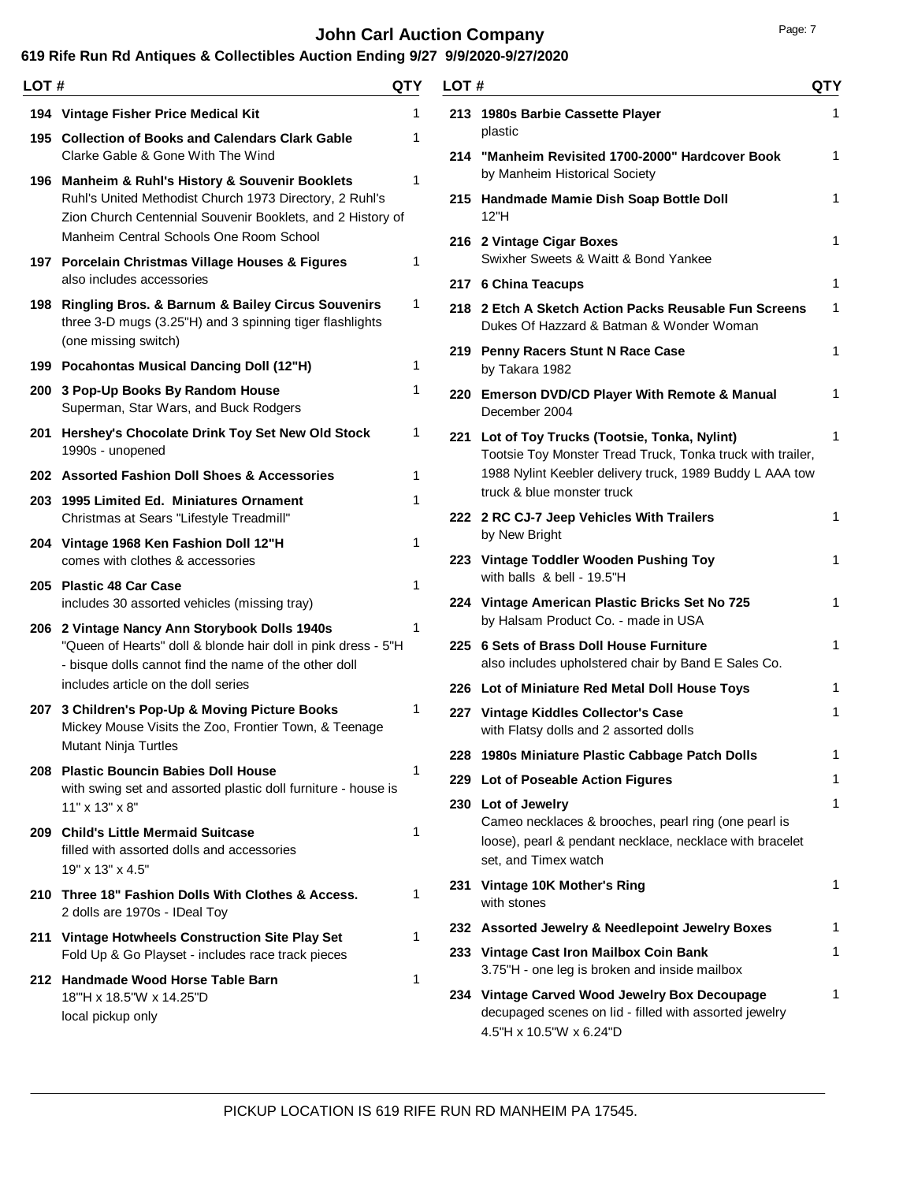# **John Carl Auction Company Page: 7 Page: 7**

| LOT # |                                                                                                                                                                           | QTY | LOT# |                                                                                                                                                                | QTY |
|-------|---------------------------------------------------------------------------------------------------------------------------------------------------------------------------|-----|------|----------------------------------------------------------------------------------------------------------------------------------------------------------------|-----|
|       | 194 Vintage Fisher Price Medical Kit                                                                                                                                      | 1   |      | 213 1980s Barbie Cassette Player                                                                                                                               | 1   |
|       | 195 Collection of Books and Calendars Clark Gable<br>Clarke Gable & Gone With The Wind                                                                                    | 1   |      | plastic<br>214 "Manheim Revisited 1700-2000" Hardcover Book                                                                                                    | 1   |
|       | 196 Manheim & Ruhl's History & Souvenir Booklets<br>Ruhl's United Methodist Church 1973 Directory, 2 Ruhl's<br>Zion Church Centennial Souvenir Booklets, and 2 History of | 1   |      | by Manheim Historical Society<br>215 Handmade Mamie Dish Soap Bottle Doll<br>12"H                                                                              | 1   |
|       | Manheim Central Schools One Room School<br>197 Porcelain Christmas Village Houses & Figures                                                                               | 1   |      | 216 2 Vintage Cigar Boxes<br>Swixher Sweets & Waitt & Bond Yankee                                                                                              | 1   |
|       | also includes accessories                                                                                                                                                 |     |      | 217 6 China Teacups                                                                                                                                            | 1   |
|       | 198 Ringling Bros. & Barnum & Bailey Circus Souvenirs<br>three 3-D mugs (3.25"H) and 3 spinning tiger flashlights<br>(one missing switch)                                 | 1   |      | 218 2 Etch A Sketch Action Packs Reusable Fun Screens<br>Dukes Of Hazzard & Batman & Wonder Woman                                                              | 1   |
|       | 199 Pocahontas Musical Dancing Doll (12"H)                                                                                                                                | 1   |      | 219 Penny Racers Stunt N Race Case<br>by Takara 1982                                                                                                           | 1   |
|       | 200 3 Pop-Up Books By Random House<br>Superman, Star Wars, and Buck Rodgers                                                                                               | 1   |      | 220 Emerson DVD/CD Player With Remote & Manual<br>December 2004                                                                                                | 1   |
|       | 201 Hershey's Chocolate Drink Toy Set New Old Stock<br>1990s - unopened                                                                                                   | 1   |      | 221 Lot of Toy Trucks (Tootsie, Tonka, Nylint)<br>Tootsie Toy Monster Tread Truck, Tonka truck with trailer,                                                   | 1   |
|       | 202 Assorted Fashion Doll Shoes & Accessories                                                                                                                             | 1   |      | 1988 Nylint Keebler delivery truck, 1989 Buddy L AAA tow                                                                                                       |     |
|       | 203 1995 Limited Ed. Miniatures Ornament<br>Christmas at Sears "Lifestyle Treadmill"                                                                                      | 1   |      | truck & blue monster truck<br>222 2 RC CJ-7 Jeep Vehicles With Trailers                                                                                        | 1   |
|       | 204 Vintage 1968 Ken Fashion Doll 12"H                                                                                                                                    | 1   |      | by New Bright                                                                                                                                                  |     |
|       | comes with clothes & accessories                                                                                                                                          |     |      | 223 Vintage Toddler Wooden Pushing Toy<br>with balls & bell - 19.5"H                                                                                           | 1   |
|       | 205 Plastic 48 Car Case<br>includes 30 assorted vehicles (missing tray)                                                                                                   | 1   |      | 224 Vintage American Plastic Bricks Set No 725                                                                                                                 | 1   |
|       | 206 2 Vintage Nancy Ann Storybook Dolls 1940s                                                                                                                             | 1   |      | by Halsam Product Co. - made in USA                                                                                                                            |     |
|       | "Queen of Hearts" doll & blonde hair doll in pink dress - 5"H<br>- bisque dolls cannot find the name of the other doll                                                    |     |      | 225 6 Sets of Brass Doll House Furniture<br>also includes upholstered chair by Band E Sales Co.                                                                | 1   |
|       | includes article on the doll series                                                                                                                                       |     |      | 226 Lot of Miniature Red Metal Doll House Toys                                                                                                                 | 1   |
|       | 207 3 Children's Pop-Up & Moving Picture Books<br>Mickey Mouse Visits the Zoo, Frontier Town, & Teenage                                                                   | 1   |      | 227 Vintage Kiddles Collector's Case<br>with Flatsy dolls and 2 assorted dolls                                                                                 | 1   |
|       | Mutant Ninja Turtles                                                                                                                                                      |     |      | 228 1980s Miniature Plastic Cabbage Patch Dolls                                                                                                                | 1   |
|       | 208 Plastic Bouncin Babies Doll House<br>with swing set and assorted plastic doll furniture - house is                                                                    | 1   |      | 229 Lot of Poseable Action Figures                                                                                                                             | 1   |
|       | $11" \times 13" \times 8"$<br>209 Child's Little Mermaid Suitcase<br>filled with assorted dolls and accessories<br>19" x 13" x 4.5"                                       | 1   |      | 230 Lot of Jewelry<br>Cameo necklaces & brooches, pearl ring (one pearl is<br>loose), pearl & pendant necklace, necklace with bracelet<br>set, and Timex watch | 1   |
|       | 210 Three 18" Fashion Dolls With Clothes & Access.<br>2 dolls are 1970s - IDeal Toy                                                                                       | 1   |      | 231 Vintage 10K Mother's Ring<br>with stones                                                                                                                   | 1   |
|       | 211 Vintage Hotwheels Construction Site Play Set                                                                                                                          | 1   |      | 232 Assorted Jewelry & Needlepoint Jewelry Boxes                                                                                                               | 1   |
|       | Fold Up & Go Playset - includes race track pieces                                                                                                                         |     |      | 233 Vintage Cast Iron Mailbox Coin Bank<br>3.75"H - one leg is broken and inside mailbox                                                                       | 1   |
|       | 212 Handmade Wood Horse Table Barn<br>18"H x 18.5"W x 14.25"D<br>local pickup only                                                                                        | 1   |      | 234 Vintage Carved Wood Jewelry Box Decoupage<br>decupaged scenes on lid - filled with assorted jewelry<br>4.5"H x 10.5"W x 6.24"D                             | 1   |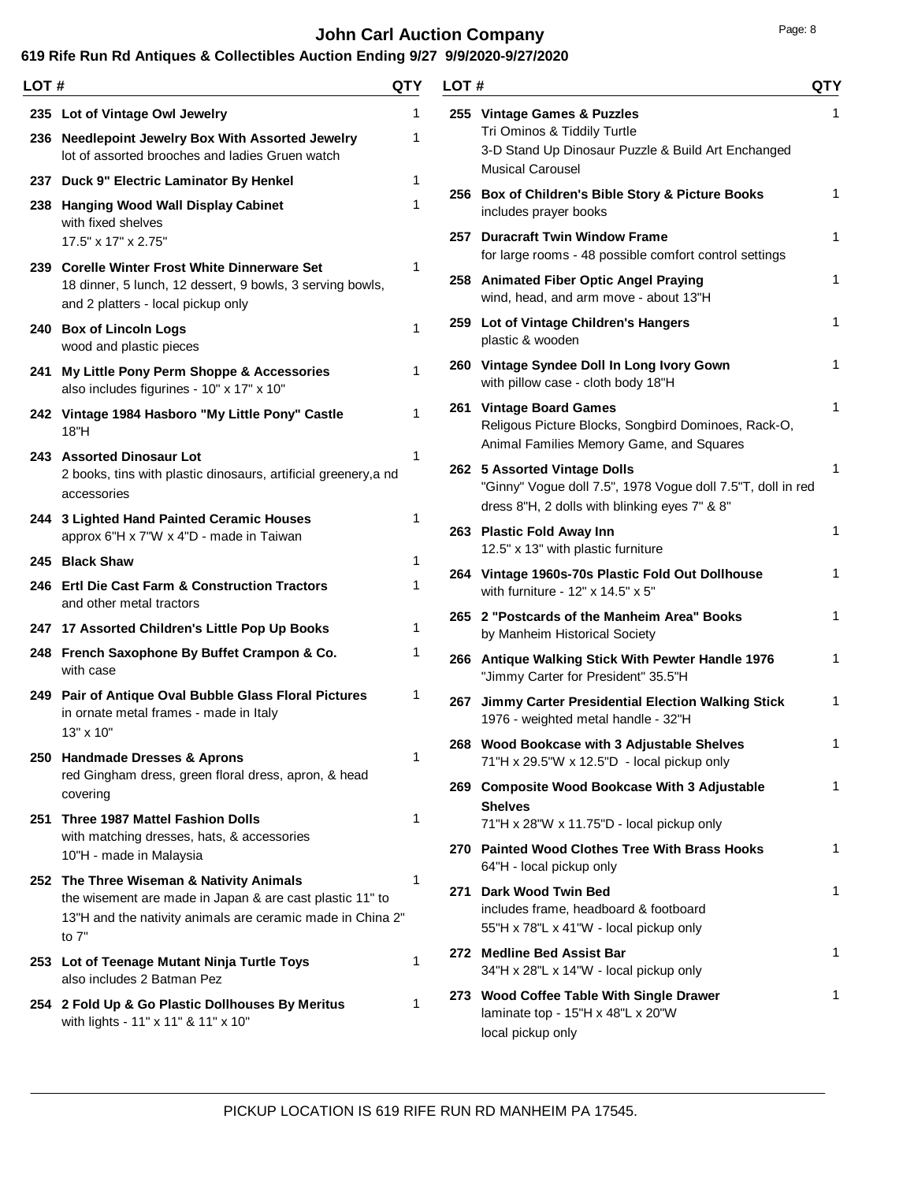# **John Carl Auction Company Page: 8 Page: 8**

| LOT # |                                                                                                                                                                             | QTY          | LOT# |                                                                                                                                              | <b>QTY</b> |
|-------|-----------------------------------------------------------------------------------------------------------------------------------------------------------------------------|--------------|------|----------------------------------------------------------------------------------------------------------------------------------------------|------------|
|       | 235 Lot of Vintage Owl Jewelry<br>236 Needlepoint Jewelry Box With Assorted Jewelry<br>lot of assorted brooches and ladies Gruen watch                                      | 1<br>1       |      | 255 Vintage Games & Puzzles<br>Tri Ominos & Tiddily Turtle<br>3-D Stand Up Dinosaur Puzzle & Build Art Enchanged<br><b>Musical Carousel</b>  | 1          |
|       | 237 Duck 9" Electric Laminator By Henkel<br>238 Hanging Wood Wall Display Cabinet<br>with fixed shelves                                                                     | 1<br>1       |      | 256 Box of Children's Bible Story & Picture Books<br>includes prayer books                                                                   | 1          |
|       | 17.5" x 17" x 2.75"<br>239 Corelle Winter Frost White Dinnerware Set                                                                                                        | 1            |      | 257 Duracraft Twin Window Frame<br>for large rooms - 48 possible comfort control settings                                                    | 1          |
|       | 18 dinner, 5 lunch, 12 dessert, 9 bowls, 3 serving bowls,<br>and 2 platters - local pickup only                                                                             |              |      | 258 Animated Fiber Optic Angel Praying<br>wind, head, and arm move - about 13"H                                                              | 1          |
|       | 240 Box of Lincoln Logs<br>wood and plastic pieces                                                                                                                          | $\mathbf{1}$ |      | 259 Lot of Vintage Children's Hangers<br>plastic & wooden                                                                                    | 1          |
|       | 241 My Little Pony Perm Shoppe & Accessories<br>also includes figurines - 10" x 17" x 10"                                                                                   | 1            |      | 260 Vintage Syndee Doll In Long Ivory Gown<br>with pillow case - cloth body 18"H                                                             | 1          |
|       | 242 Vintage 1984 Hasboro "My Little Pony" Castle<br>18"H                                                                                                                    | 1            |      | 261 Vintage Board Games<br>Religous Picture Blocks, Songbird Dominoes, Rack-O,<br>Animal Families Memory Game, and Squares                   | 1          |
|       | 243 Assorted Dinosaur Lot<br>2 books, tins with plastic dinosaurs, artificial greenery, and<br>accessories                                                                  | 1            |      | 262 5 Assorted Vintage Dolls<br>"Ginny" Vogue doll 7.5", 1978 Vogue doll 7.5"T, doll in red<br>dress 8"H, 2 dolls with blinking eyes 7" & 8" | 1          |
|       | 244 3 Lighted Hand Painted Ceramic Houses<br>approx 6"H x 7"W x 4"D - made in Taiwan                                                                                        | 1            |      | 263 Plastic Fold Away Inn<br>12.5" x 13" with plastic furniture                                                                              | 1          |
|       | 245 Black Shaw<br>246 Ertl Die Cast Farm & Construction Tractors<br>and other metal tractors                                                                                | 1<br>1       |      | 264 Vintage 1960s-70s Plastic Fold Out Dollhouse<br>with furniture - 12" x 14.5" x 5"                                                        | 1          |
|       | 247 17 Assorted Children's Little Pop Up Books                                                                                                                              | 1            |      | 265 2 "Postcards of the Manheim Area" Books<br>by Manheim Historical Society                                                                 | 1          |
|       | 248 French Saxophone By Buffet Crampon & Co.<br>with case                                                                                                                   | 1            |      | 266 Antique Walking Stick With Pewter Handle 1976<br>"Jimmy Carter for President" 35.5"H                                                     | 1          |
|       | 249 Pair of Antique Oval Bubble Glass Floral Pictures<br>in ornate metal frames - made in Italy<br>13" x 10"                                                                | 1            |      | 267 Jimmy Carter Presidential Election Walking Stick<br>1976 - weighted metal handle - 32"H                                                  | 1          |
|       | 250 Handmade Dresses & Aprons<br>red Gingham dress, green floral dress, apron, & head                                                                                       | 1            |      | 268 Wood Bookcase with 3 Adjustable Shelves<br>71"H x 29.5"W x 12.5"D - local pickup only                                                    | 1          |
|       | covering<br>251 Three 1987 Mattel Fashion Dolls                                                                                                                             | 1            |      | 269 Composite Wood Bookcase With 3 Adjustable<br><b>Shelves</b><br>71"H x 28"W x 11.75"D - local pickup only                                 | 1          |
|       | with matching dresses, hats, & accessories<br>10"H - made in Malaysia                                                                                                       |              |      | 270 Painted Wood Clothes Tree With Brass Hooks<br>64"H - local pickup only                                                                   | 1          |
|       | 252 The Three Wiseman & Nativity Animals<br>the wisement are made in Japan & are cast plastic 11" to<br>13"H and the nativity animals are ceramic made in China 2"<br>to 7" | 1            |      | 271 Dark Wood Twin Bed<br>includes frame, headboard & footboard<br>55"H x 78"L x 41"W - local pickup only                                    | 1          |
|       | 253 Lot of Teenage Mutant Ninja Turtle Toys<br>also includes 2 Batman Pez                                                                                                   | 1            |      | 272 Medline Bed Assist Bar<br>34"H x 28"L x 14"W - local pickup only                                                                         | 1          |
|       | 254 2 Fold Up & Go Plastic Dollhouses By Meritus<br>with lights - 11" x 11" & 11" x 10"                                                                                     | 1            |      | 273 Wood Coffee Table With Single Drawer<br>laminate top - 15"H x 48"L x 20"W<br>local pickup only                                           | 1          |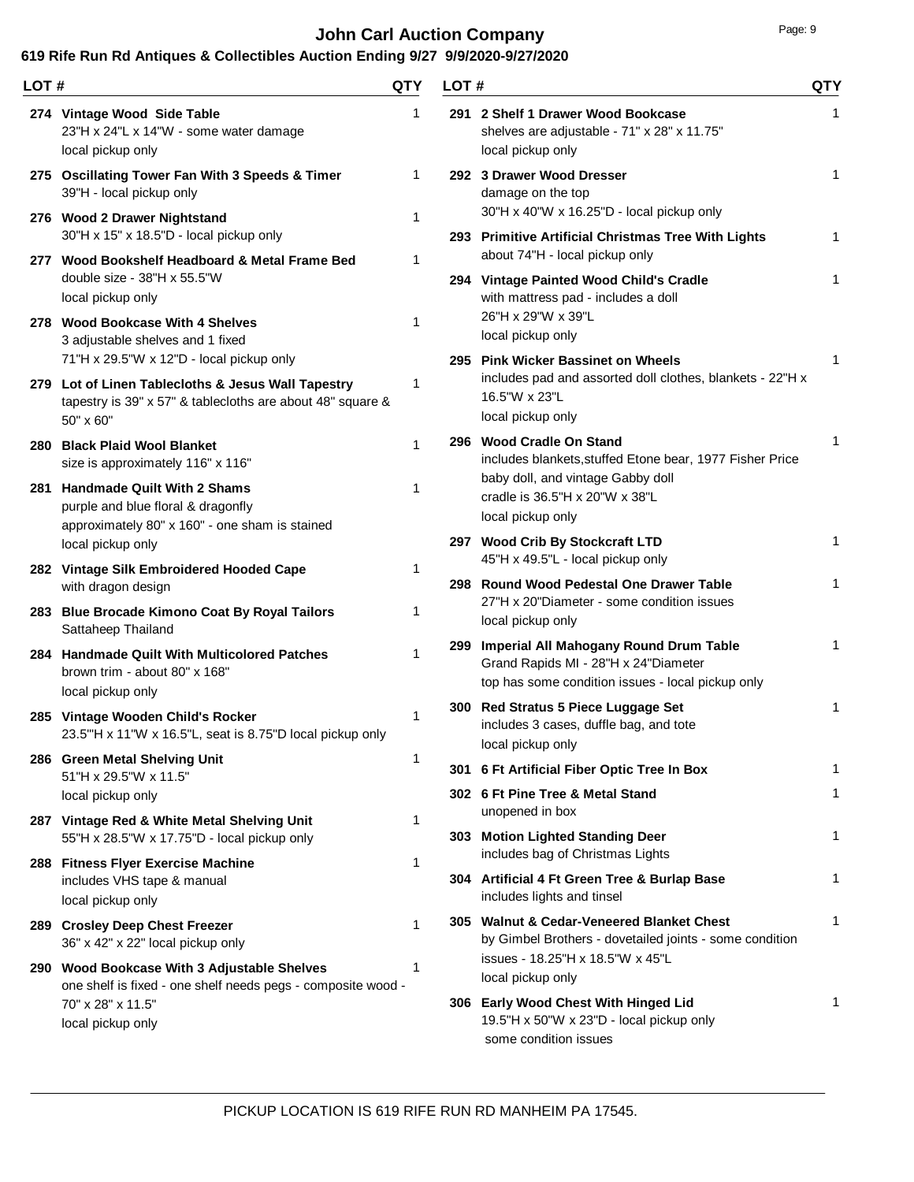# **John Carl Auction Company Page: 9** Page: 9

| LOT# |                                                                                                                                                                                                               | QTY          | LOT# |                                                                                                                                                            | <b>QTY</b> |
|------|---------------------------------------------------------------------------------------------------------------------------------------------------------------------------------------------------------------|--------------|------|------------------------------------------------------------------------------------------------------------------------------------------------------------|------------|
|      | 274 Vintage Wood Side Table<br>23"H x 24"L x 14"W - some water damage<br>local pickup only                                                                                                                    | 1            |      | 291 2 Shelf 1 Drawer Wood Bookcase<br>shelves are adjustable - 71" x 28" x 11.75"<br>local pickup only                                                     | 1          |
|      | 275 Oscillating Tower Fan With 3 Speeds & Timer<br>39"H - local pickup only<br>276 Wood 2 Drawer Nightstand                                                                                                   | 1<br>1       |      | 292 3 Drawer Wood Dresser<br>damage on the top<br>30"H x 40"W x 16.25"D - local pickup only                                                                | 1          |
|      | 30"H x 15" x 18.5"D - local pickup only<br>277 Wood Bookshelf Headboard & Metal Frame Bed                                                                                                                     | 1            |      | 293 Primitive Artificial Christmas Tree With Lights<br>about 74"H - local pickup only                                                                      | 1          |
|      | double size - $38"H \times 55.5"W$<br>local pickup only<br>278 Wood Bookcase With 4 Shelves                                                                                                                   | 1            |      | 294 Vintage Painted Wood Child's Cradle<br>with mattress pad - includes a doll<br>26"H x 29"W x 39"L                                                       | 1          |
|      | 3 adjustable shelves and 1 fixed<br>71"H x 29.5"W x 12"D - local pickup only<br>279 Lot of Linen Tablecloths & Jesus Wall Tapestry<br>tapestry is 39" x 57" & tablecloths are about 48" square &<br>50" x 60" | 1            |      | local pickup only<br>295 Pink Wicker Bassinet on Wheels<br>includes pad and assorted doll clothes, blankets - 22"H x<br>16.5"W x 23"L<br>local pickup only | 1          |
|      | 280 Black Plaid Wool Blanket<br>size is approximately 116" x 116"                                                                                                                                             | $\mathbf 1$  |      | 296 Wood Cradle On Stand<br>includes blankets, stuffed Etone bear, 1977 Fisher Price<br>baby doll, and vintage Gabby doll                                  | 1          |
|      | 281 Handmade Quilt With 2 Shams<br>purple and blue floral & dragonfly<br>approximately 80" x 160" - one sham is stained                                                                                       | 1            |      | cradle is 36.5"H x 20"W x 38"L<br>local pickup only                                                                                                        |            |
|      | local pickup only                                                                                                                                                                                             |              |      | 297 Wood Crib By Stockcraft LTD<br>45"H x 49.5"L - local pickup only                                                                                       | 1          |
|      | 282 Vintage Silk Embroidered Hooded Cape<br>with dragon design<br>283 Blue Brocade Kimono Coat By Royal Tailors                                                                                               | 1<br>1       |      | 298 Round Wood Pedestal One Drawer Table<br>27"H x 20"Diameter - some condition issues<br>local pickup only                                                | 1          |
|      | Sattaheep Thailand<br>284 Handmade Quilt With Multicolored Patches<br>brown trim - about 80" x 168"                                                                                                           | 1            |      | 299 Imperial All Mahogany Round Drum Table<br>Grand Rapids MI - 28"H x 24"Diameter<br>top has some condition issues - local pickup only                    | 1          |
|      | local pickup only<br>285 Vintage Wooden Child's Rocker<br>23.5"H x 11"W x 16.5"L, seat is 8.75"D local pickup only                                                                                            | 1            |      | 300 Red Stratus 5 Piece Luggage Set<br>includes 3 cases, duffle bag, and tote<br>local pickup only                                                         | 1          |
|      | 286 Green Metal Shelving Unit<br>51"H x 29.5"W x 11.5"                                                                                                                                                        | 1            |      | 301 6 Ft Artificial Fiber Optic Tree In Box                                                                                                                | 1          |
|      | local pickup only                                                                                                                                                                                             |              |      | 302 6 Ft Pine Tree & Metal Stand<br>unopened in box                                                                                                        | 1          |
|      | 287 Vintage Red & White Metal Shelving Unit<br>55"H x 28.5"W x 17.75"D - local pickup only                                                                                                                    | 1            |      | 303 Motion Lighted Standing Deer<br>includes bag of Christmas Lights                                                                                       | 1          |
|      | 288 Fitness Flyer Exercise Machine<br>includes VHS tape & manual<br>local pickup only                                                                                                                         | 1            |      | 304 Artificial 4 Ft Green Tree & Burlap Base<br>includes lights and tinsel                                                                                 | 1          |
|      | 289 Crosley Deep Chest Freezer<br>36" x 42" x 22" local pickup only                                                                                                                                           | $\mathbf{1}$ |      | 305 Walnut & Cedar-Veneered Blanket Chest<br>by Gimbel Brothers - dovetailed joints - some condition<br>issues - 18.25"H x 18.5"W x 45"L                   | 1          |
|      | 290 Wood Bookcase With 3 Adjustable Shelves<br>one shelf is fixed - one shelf needs pegs - composite wood -<br>70" x 28" x 11.5"<br>local pickup only                                                         | 1            |      | local pickup only<br>306 Early Wood Chest With Hinged Lid<br>19.5"H x 50"W x 23"D - local pickup only<br>some condition issues                             |            |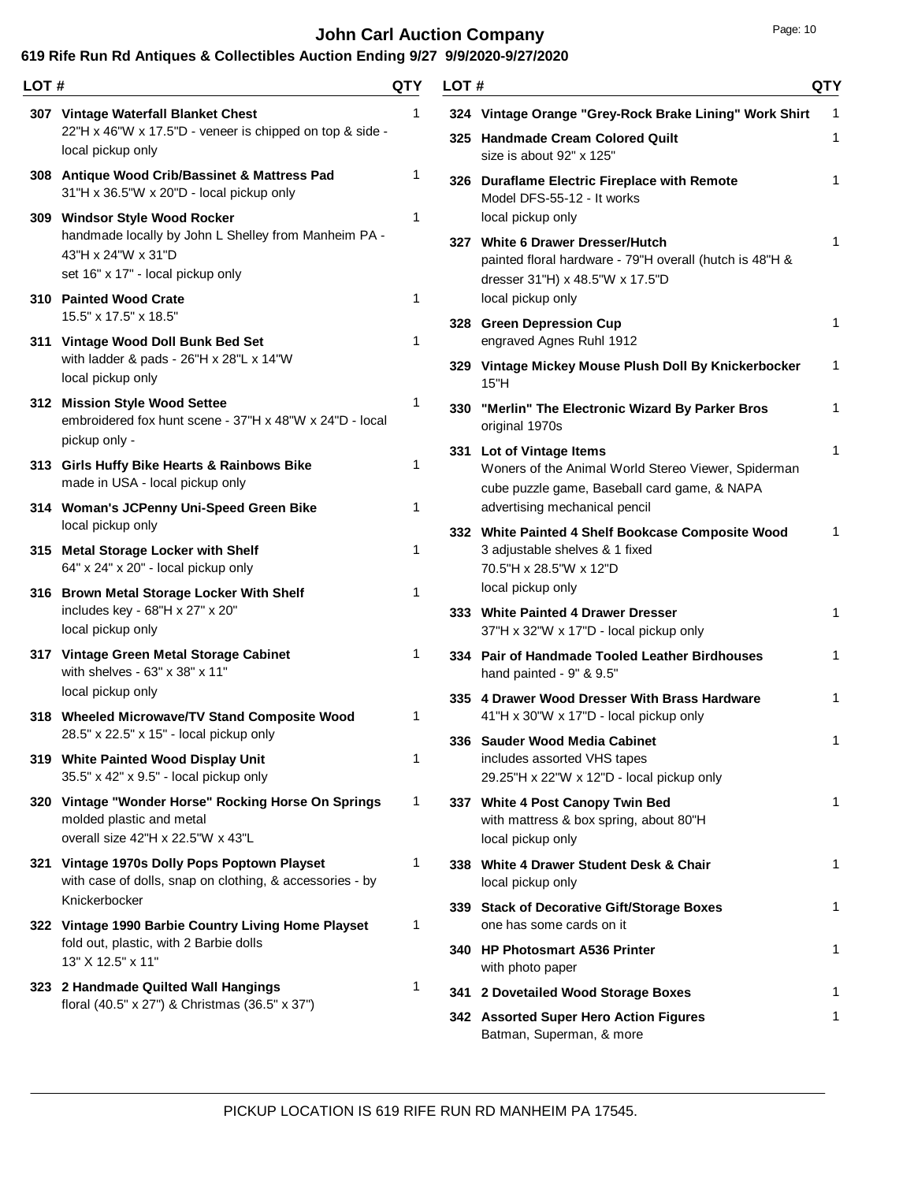### **John Carl Auction Company** Page: 10

| LOT # |                                                                                                                           | QTY          | LOT# |                                                                                                                                 | QTY               |
|-------|---------------------------------------------------------------------------------------------------------------------------|--------------|------|---------------------------------------------------------------------------------------------------------------------------------|-------------------|
|       | 307 Vintage Waterfall Blanket Chest<br>22"H x 46"W x 17.5"D - veneer is chipped on top & side -                           | 1            |      | 324 Vintage Orange "Grey-Rock Brake Lining" Work Shirt<br>325 Handmade Cream Colored Quilt                                      | $\mathbf{1}$<br>1 |
|       | local pickup only<br>308 Antique Wood Crib/Bassinet & Mattress Pad<br>31"H x 36.5"W x 20"D - local pickup only            | 1            |      | size is about 92" x 125"<br>326 Duraflame Electric Fireplace with Remote<br>Model DFS-55-12 - It works                          | 1                 |
|       | 309 Windsor Style Wood Rocker<br>handmade locally by John L Shelley from Manheim PA -<br>43"H x 24"W x 31"D               | 1            |      | local pickup only<br>327 White 6 Drawer Dresser/Hutch                                                                           | 1                 |
|       | set 16" x 17" - local pickup only<br>310 Painted Wood Crate                                                               | 1            |      | painted floral hardware - 79"H overall (hutch is 48"H &<br>dresser 31"H) x 48.5"W x 17.5"D<br>local pickup only                 |                   |
|       | 15.5" x 17.5" x 18.5"<br>311 Vintage Wood Doll Bunk Bed Set                                                               | 1            |      | 328 Green Depression Cup<br>engraved Agnes Ruhl 1912                                                                            | 1                 |
|       | with ladder & pads - 26"H x 28"L x 14"W<br>local pickup only                                                              |              |      | 329 Vintage Mickey Mouse Plush Doll By Knickerbocker<br>15"H                                                                    | 1                 |
|       | 312 Mission Style Wood Settee<br>embroidered fox hunt scene - 37"H x 48"W x 24"D - local<br>pickup only -                 | 1            |      | 330 "Merlin" The Electronic Wizard By Parker Bros<br>original 1970s                                                             | 1                 |
|       | 313 Girls Huffy Bike Hearts & Rainbows Bike<br>made in USA - local pickup only                                            | $\mathbf{1}$ |      | 331 Lot of Vintage Items<br>Woners of the Animal World Stereo Viewer, Spiderman<br>cube puzzle game, Baseball card game, & NAPA | 1                 |
|       | 314 Woman's JCPenny Uni-Speed Green Bike<br>local pickup only                                                             | 1            |      | advertising mechanical pencil<br>332 White Painted 4 Shelf Bookcase Composite Wood                                              | 1                 |
|       | 315 Metal Storage Locker with Shelf<br>64" x 24" x 20" - local pickup only                                                | 1            |      | 3 adjustable shelves & 1 fixed<br>70.5"H x 28.5"W x 12"D                                                                        |                   |
|       | 316 Brown Metal Storage Locker With Shelf<br>includes key - 68"H x 27" x 20"<br>local pickup only                         | $\mathbf{1}$ |      | local pickup only<br>333 White Painted 4 Drawer Dresser<br>37"H x 32"W x 17"D - local pickup only                               | 1                 |
|       | 317 Vintage Green Metal Storage Cabinet<br>with shelves - 63" x 38" x 11"<br>local pickup only                            | 1            |      | 334 Pair of Handmade Tooled Leather Birdhouses<br>hand painted - 9" & 9.5"                                                      | 1                 |
|       | 318 Wheeled Microwave/TV Stand Composite Wood<br>28.5" x 22.5" x 15" - local pickup only                                  | 1            |      | 335 4 Drawer Wood Dresser With Brass Hardware<br>41"H x 30"W x 17"D - local pickup only                                         | 1                 |
|       | 319 White Painted Wood Display Unit<br>35.5" x 42" x 9.5" - local pickup only                                             | 1            |      | 336   Sauder Wood Media Cabinet<br>includes assorted VHS tapes<br>29.25"H x 22"W x 12"D - local pickup only                     | 1                 |
|       | 320 Vintage "Wonder Horse" Rocking Horse On Springs<br>molded plastic and metal<br>overall size 42"H x 22.5"W x 43"L      | 1            |      | 337 White 4 Post Canopy Twin Bed<br>with mattress & box spring, about 80"H<br>local pickup only                                 | 1                 |
|       | 321 Vintage 1970s Dolly Pops Poptown Playset<br>with case of dolls, snap on clothing, & accessories - by<br>Knickerbocker | 1            |      | 338 White 4 Drawer Student Desk & Chair<br>local pickup only                                                                    | 1                 |
|       | 322 Vintage 1990 Barbie Country Living Home Playset<br>fold out, plastic, with 2 Barbie dolls                             | 1            |      | 339 Stack of Decorative Gift/Storage Boxes<br>one has some cards on it                                                          | 1                 |
|       | 13" X 12.5" x 11"<br>323 2 Handmade Quilted Wall Hangings                                                                 | 1            |      | 340 HP Photosmart A536 Printer<br>with photo paper                                                                              | 1                 |
|       | floral (40.5" x 27") & Christmas (36.5" x 37")                                                                            |              |      | 341 2 Dovetailed Wood Storage Boxes                                                                                             | 1                 |
|       |                                                                                                                           |              |      | 342 Assorted Super Hero Action Figures<br>Batman, Superman, & more                                                              | 1                 |